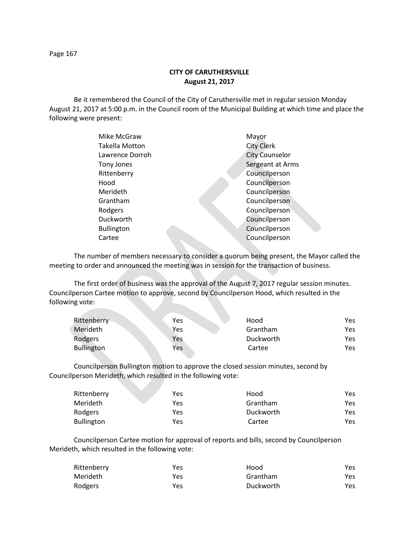Page 167

# **CITY OF CARUTHERSVILLE August 21, 2017**

Be it remembered the Council of the City of Caruthersville met in regular session Monday August 21, 2017 at 5:00 p.m. in the Council room of the Municipal Building at which time and place the following were present:

| Mike McGraw           | Mayor                 |
|-----------------------|-----------------------|
| <b>Takella Motton</b> | <b>City Clerk</b>     |
| Lawrence Dorroh       | <b>City Counselor</b> |
| Tony Jones            | Sergeant at Arms      |
| Rittenberry           | Councilperson         |
| Hood                  | Councilperson         |
| Merideth              | Councilperson         |
| Grantham              | Councilperson         |
| Rodgers               | Councilperson         |
| Duckworth             | Councilperson         |
| <b>Bullington</b>     | Councilperson         |
| Cartee                | Councilperson         |
|                       |                       |

The number of members necessary to consider a quorum being present, the Mayor called the meeting to order and announced the meeting was in session for the transaction of business.

The first order of business was the approval of the August 7, 2017 regular session minutes. Councilperson Cartee motion to approve, second by Councilperson Hood, which resulted in the following vote:

| Rittenberry       | Yes | Hood      | Yes. |
|-------------------|-----|-----------|------|
| <b>Merideth</b>   | Yes | Grantham  | Yes. |
| Rodgers           | Yes | Duckworth | Yes. |
| <b>Bullington</b> | Yes | Cartee    | Yes. |

Councilperson Bullington motion to approve the closed session minutes, second by Councilperson Merideth, which resulted in the following vote:

| Rittenberry       | Yes | Hood      | Yes. |
|-------------------|-----|-----------|------|
| Merideth          | Yes | Grantham  | Yes. |
| Rodgers           | Yes | Duckworth | Yes. |
| <b>Bullington</b> | Yes | Cartee    | Yes. |

Councilperson Cartee motion for approval of reports and bills, second by Councilperson Merideth, which resulted in the following vote:

| Rittenberry | Yes | Hood      | Yes  |
|-------------|-----|-----------|------|
| Merideth    | Yes | Grantham  | Yes. |
| Rodgers     | Yes | Duckworth | Yes. |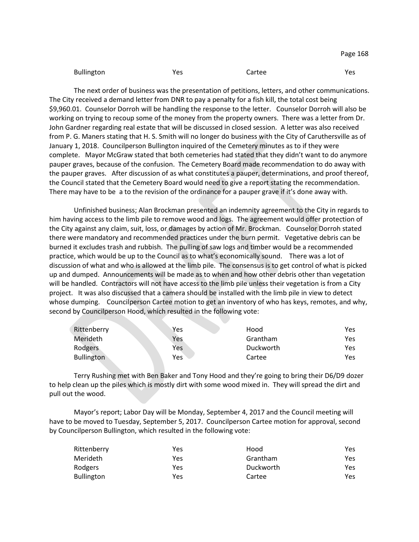| Bullington | Yes | Cartee | Yes |
|------------|-----|--------|-----|
|------------|-----|--------|-----|

The next order of business was the presentation of petitions, letters, and other communications. The City received a demand letter from DNR to pay a penalty for a fish kill, the total cost being \$9,960.01. Counselor Dorroh will be handling the response to the letter. Counselor Dorroh will also be working on trying to recoup some of the money from the property owners. There was a letter from Dr. John Gardner regarding real estate that will be discussed in closed session. A letter was also received from P. G. Maners stating that H. S. Smith will no longer do business with the City of Caruthersville as of January 1, 2018. Councilperson Bullington inquired of the Cemetery minutes as to if they were complete. Mayor McGraw stated that both cemeteries had stated that they didn't want to do anymore pauper graves, because of the confusion. The Cemetery Board made recommendation to do away with the pauper graves. After discussion of as what constitutes a pauper, determinations, and proof thereof, the Council stated that the Cemetery Board would need to give a report stating the recommendation. There may have to be a to the revision of the ordinance for a pauper grave if it's done away with.

Unfinished business; Alan Brockman presented an indemnity agreement to the City in regards to him having access to the limb pile to remove wood and logs. The agreement would offer protection of the City against any claim, suit, loss, or damages by action of Mr. Brockman. Counselor Dorroh stated there were mandatory and recommended practices under the burn permit. Vegetative debris can be burned it excludes trash and rubbish. The pulling of saw logs and timber would be a recommended practice, which would be up to the Council as to what's economically sound. There was a lot of discussion of what and who is allowed at the limb pile. The consensus is to get control of what is picked up and dumped. Announcements will be made as to when and how other debris other than vegetation will be handled. Contractors will not have access to the limb pile unless their vegetation is from a City project. It was also discussed that a camera should be installed with the limb pile in view to detect whose dumping. Councilperson Cartee motion to get an inventory of who has keys, remotes, and why, second by Councilperson Hood, which resulted in the following vote:

| Rittenberry       | Yes | Hood      | Yes |
|-------------------|-----|-----------|-----|
| Merideth          | Yes | Grantham  | Yes |
| Rodgers           | Yes | Duckworth | Yes |
| <b>Bullington</b> | Yes | Cartee    | Yes |

Terry Rushing met with Ben Baker and Tony Hood and they're going to bring their D6/D9 dozer to help clean up the piles which is mostly dirt with some wood mixed in. They will spread the dirt and pull out the wood.

Mayor's report; Labor Day will be Monday, September 4, 2017 and the Council meeting will have to be moved to Tuesday, September 5, 2017. Councilperson Cartee motion for approval, second by Councilperson Bullington, which resulted in the following vote:

| Rittenberry       | Yes | Hood      | Yes. |
|-------------------|-----|-----------|------|
| Merideth          | Yes | Grantham  | Yes  |
| Rodgers           | Yes | Duckworth | Yes  |
| <b>Bullington</b> | Yes | Cartee    | Yes. |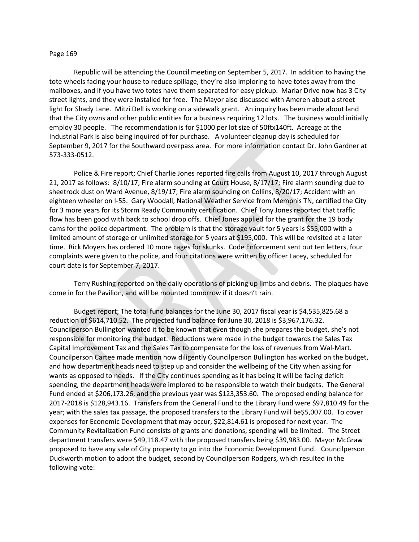### Page 169

Republic will be attending the Council meeting on September 5, 2017. In addition to having the tote wheels facing your house to reduce spillage, they're also imploring to have totes away from the mailboxes, and if you have two totes have them separated for easy pickup. Marlar Drive now has 3 City street lights, and they were installed for free. The Mayor also discussed with Ameren about a street light for Shady Lane. Mitzi Dell is working on a sidewalk grant. An inquiry has been made about land that the City owns and other public entities for a business requiring 12 lots. The business would initially employ 30 people. The recommendation is for \$1000 per lot size of 50ftx140ft. Acreage at the Industrial Park is also being inquired of for purchase. A volunteer cleanup day is scheduled for September 9, 2017 for the Southward overpass area. For more information contact Dr. John Gardner at 573-333-0512.

Police & Fire report; Chief Charlie Jones reported fire calls from August 10, 2017 through August 21, 2017 as follows: 8/10/17; Fire alarm sounding at Court House, 8/17/17; Fire alarm sounding due to sheetrock dust on Ward Avenue, 8/19/17; Fire alarm sounding on Collins, 8/20/17; Accident with an eighteen wheeler on I-55. Gary Woodall, National Weather Service from Memphis TN, certified the City for 3 more years for its Storm Ready Community certification. Chief Tony Jones reported that traffic flow has been good with back to school drop offs. Chief Jones applied for the grant for the 19 body cams for the police department. The problem is that the storage vault for 5 years is \$55,000 with a limited amount of storage or unlimited storage for 5 years at \$195,000. This will be revisited at a later time. Rick Moyers has ordered 10 more cages for skunks. Code Enforcement sent out ten letters, four complaints were given to the police, and four citations were written by officer Lacey, scheduled for court date is for September 7, 2017.

Terry Rushing reported on the daily operations of picking up limbs and debris. The plaques have come in for the Pavilion, and will be mounted tomorrow if it doesn't rain.

Budget report; The total fund balances for the June 30, 2017 fiscal year is \$4,535,825.68 a reduction of \$614,710.52. The projected fund balance for June 30, 2018 is \$3,967,176.32. Councilperson Bullington wanted it to be known that even though she prepares the budget, she's not responsible for monitoring the budget. Reductions were made in the budget towards the Sales Tax Capital Improvement Tax and the Sales Tax to compensate for the loss of revenues from Wal-Mart. Councilperson Cartee made mention how diligently Councilperson Bullington has worked on the budget, and how department heads need to step up and consider the wellbeing of the City when asking for wants as opposed to needs. If the City continues spending as it has being it will be facing deficit spending, the department heads were implored to be responsible to watch their budgets. The General Fund ended at \$206,173.26, and the previous year was \$123,353.60. The proposed ending balance for 2017-2018 is \$128,943.16. Transfers from the General Fund to the Library Fund were \$97,810.49 for the year; with the sales tax passage, the proposed transfers to the Library Fund will be\$5,007.00. To cover expenses for Economic Development that may occur, \$22,814.61 is proposed for next year. The Community Revitalization Fund consists of grants and donations, spending will be limited. The Street department transfers were \$49,118.47 with the proposed transfers being \$39,983.00. Mayor McGraw proposed to have any sale of City property to go into the Economic Development Fund. Councilperson Duckworth motion to adopt the budget, second by Councilperson Rodgers, which resulted in the following vote: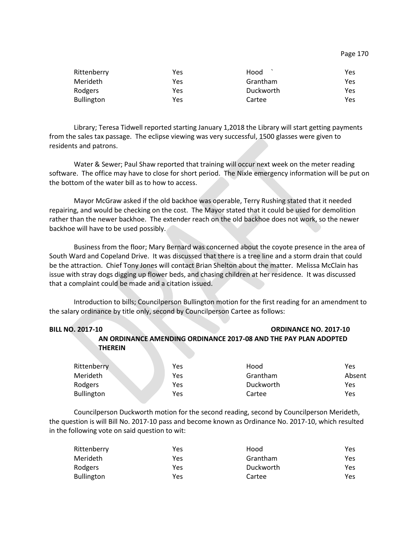| Rittenberry       | Yes | Hood      | Yes |
|-------------------|-----|-----------|-----|
| <b>Merideth</b>   | Yes | Grantham  | Yes |
| Rodgers           | Yes | Duckworth | Yes |
| <b>Bullington</b> | Yes | Cartee    | Yes |

Library; Teresa Tidwell reported starting January 1,2018 the Library will start getting payments from the sales tax passage. The eclipse viewing was very successful, 1500 glasses were given to residents and patrons.

Water & Sewer; Paul Shaw reported that training will occur next week on the meter reading software. The office may have to close for short period. The Nixle emergency information will be put on the bottom of the water bill as to how to access.

Mayor McGraw asked if the old backhoe was operable, Terry Rushing stated that it needed repairing, and would be checking on the cost. The Mayor stated that it could be used for demolition rather than the newer backhoe. The extender reach on the old backhoe does not work, so the newer backhoe will have to be used possibly.

Business from the floor; Mary Bernard was concerned about the coyote presence in the area of South Ward and Copeland Drive. It was discussed that there is a tree line and a storm drain that could be the attraction. Chief Tony Jones will contact Brian Shelton about the matter. Melissa McClain has issue with stray dogs digging up flower beds, and chasing children at her residence. It was discussed that a complaint could be made and a citation issued.

Introduction to bills; Councilperson Bullington motion for the first reading for an amendment to the salary ordinance by title only, second by Councilperson Cartee as follows:

| <b>BILL NO. 2017-10</b>                 |                                                                  | <b>ORDINANCE NO. 2017-10</b> |
|-----------------------------------------|------------------------------------------------------------------|------------------------------|
|                                         | AN ORDINANCE AMENDING ORDINANCE 2017-08 AND THE PAY PLAN ADOPTED |                              |
| <b>THEREIN</b>                          |                                                                  |                              |
|                                         |                                                                  |                              |
| material and a contract of the state of |                                                                  |                              |

| Rittenberry       | Yes | Hood      | Yes    |
|-------------------|-----|-----------|--------|
| Merideth          | Yes | Grantham  | Absent |
| Rodgers           | Yes | Duckworth | Yes    |
| <b>Bullington</b> | Yes | Cartee    | Yes    |

Councilperson Duckworth motion for the second reading, second by Councilperson Merideth, the question is will Bill No. 2017-10 pass and become known as Ordinance No. 2017-10, which resulted in the following vote on said question to wit:

| Rittenberry       | Yes | Hood      | Yes |
|-------------------|-----|-----------|-----|
| Merideth          | Yes | Grantham  | Yes |
| Rodgers           | Yes | Duckworth | Yes |
| <b>Bullington</b> | Yes | Cartee    | Yes |